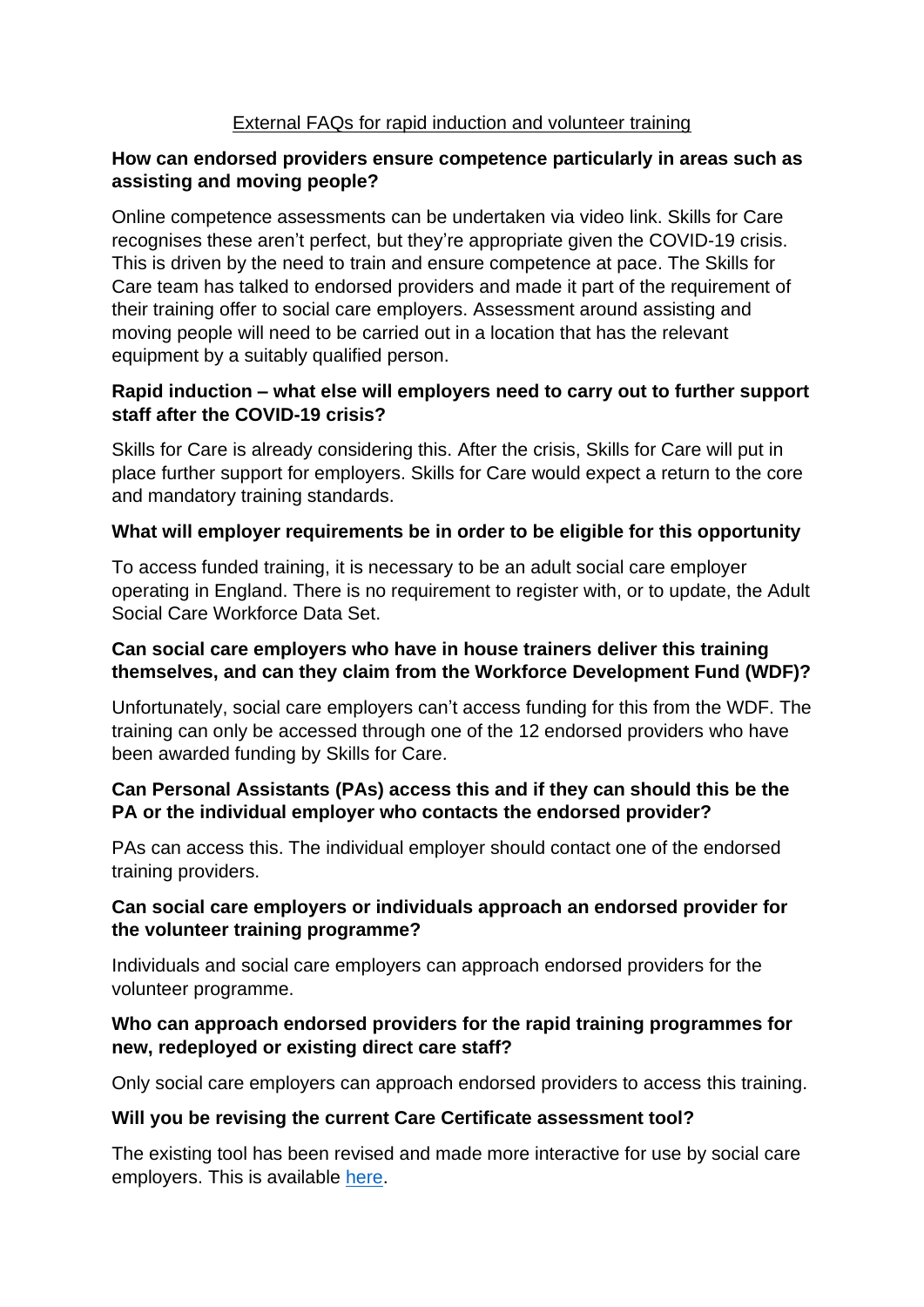## External FAQs for rapid induction and volunteer training

### **How can endorsed providers ensure competence particularly in areas such as assisting and moving people?**

Online competence assessments can be undertaken via video link. Skills for Care recognises these aren't perfect, but they're appropriate given the COVID-19 crisis. This is driven by the need to train and ensure competence at pace. The Skills for Care team has talked to endorsed providers and made it part of the requirement of their training offer to social care employers. Assessment around assisting and moving people will need to be carried out in a location that has the relevant equipment by a suitably qualified person.

## **Rapid induction – what else will employers need to carry out to further support staff after the COVID-19 crisis?**

Skills for Care is already considering this. After the crisis, Skills for Care will put in place further support for employers. Skills for Care would expect a return to the core and mandatory training standards.

### **What will employer requirements be in order to be eligible for this opportunity**

To access funded training, it is necessary to be an adult social care employer operating in England. There is no requirement to register with, or to update, the Adult Social Care Workforce Data Set.

## **Can social care employers who have in house trainers deliver this training themselves, and can they claim from the Workforce Development Fund (WDF)?**

Unfortunately, social care employers can't access funding for this from the WDF. The training can only be accessed through one of the 12 endorsed providers who have been awarded funding by Skills for Care.

### **Can Personal Assistants (PAs) access this and if they can should this be the PA or the individual employer who contacts the endorsed provider?**

PAs can access this. The individual employer should contact one of the endorsed training providers.

### **Can social care employers or individuals approach an endorsed provider for the volunteer training programme?**

Individuals and social care employers can approach endorsed providers for the volunteer programme.

### **Who can approach endorsed providers for the rapid training programmes for new, redeployed or existing direct care staff?**

Only social care employers can approach endorsed providers to access this training.

#### **Will you be revising the current Care Certificate assessment tool?**

The existing tool has been revised and made more interactive for use by social care employers. This is available [here.](https://www.skillsforcare.org.uk/Documents/Learning-and-development/Care-Certificate/The-Care-Certificate-Self-Assessment-Tool.pdf)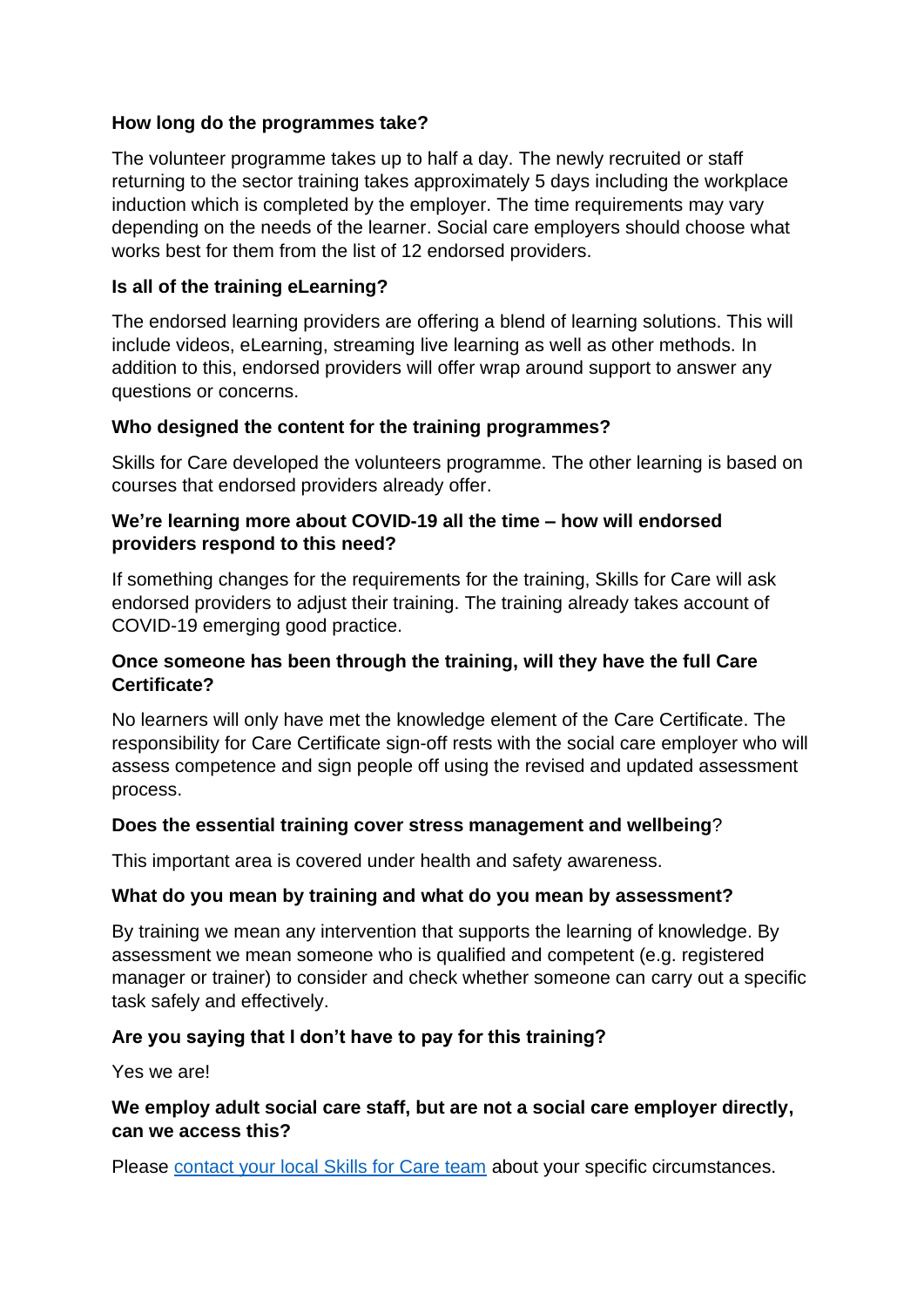### **How long do the programmes take?**

The volunteer programme takes up to half a day. The newly recruited or staff returning to the sector training takes approximately 5 days including the workplace induction which is completed by the employer. The time requirements may vary depending on the needs of the learner. Social care employers should choose what works best for them from the list of 12 endorsed providers.

### **Is all of the training eLearning?**

The endorsed learning providers are offering a blend of learning solutions. This will include videos, eLearning, streaming live learning as well as other methods. In addition to this, endorsed providers will offer wrap around support to answer any questions or concerns.

#### **Who designed the content for the training programmes?**

Skills for Care developed the volunteers programme. The other learning is based on courses that endorsed providers already offer.

#### **We're learning more about COVID-19 all the time – how will endorsed providers respond to this need?**

If something changes for the requirements for the training, Skills for Care will ask endorsed providers to adjust their training. The training already takes account of COVID-19 emerging good practice.

### **Once someone has been through the training, will they have the full Care Certificate?**

No learners will only have met the knowledge element of the Care Certificate. The responsibility for Care Certificate sign-off rests with the social care employer who will assess competence and sign people off using the revised and updated assessment process.

#### **Does the essential training cover stress management and wellbeing**?

This important area is covered under health and safety awareness.

#### **What do you mean by training and what do you mean by assessment?**

By training we mean any intervention that supports the learning of knowledge. By assessment we mean someone who is qualified and competent (e.g. registered manager or trainer) to consider and check whether someone can carry out a specific task safely and effectively.

## **Are you saying that I don't have to pay for this training?**

Yes we are!

### **We employ adult social care staff, but are not a social care employer directly, can we access this?**

Please [contact your local Skills for Care team](https://www.skillsforcare.org.uk/Getting-involved/In-your-area/In-your-area.aspx) about your specific circumstances.